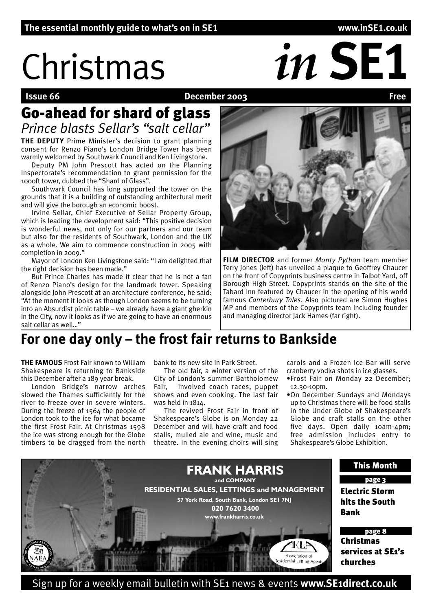# Christmas *in* **SE1**

### **December 2003**

# Go-ahead for shard of glass *Prince blasts Sellar's "salt cellar"*

**THE DEPUTY** Prime Minister's decision to grant planning consent for Renzo Piano's London Bridge Tower has been warmly welcomed by Southwark Council and Ken Livingstone.

Deputy PM John Prescott has acted on the Planning Inspectorate's recommendation to grant permission for the 1000ft tower, dubbed the "Shard of Glass".

Southwark Council has long supported the tower on the grounds that it is a building of outstanding architectural merit and will give the borough an economic boost.

Irvine Sellar, Chief Executive of Sellar Property Group, which is leading the development said: "This positive decision is wonderful news, not only for our partners and our team but also for the residents of Southwark, London and the UK as a whole. We aim to commence construction in 2005 with completion in 2009."

Mayor of London Ken Livingstone said: "I am delighted that the right decision has been made."

But Prince Charles has made it clear that he is not a fan of Renzo Piano's design for the landmark tower. Speaking alongside John Prescott at an architecture conference, he said: "At the moment it looks as though London seems to be turning into an Absurdist picnic table – we already have a giant gherkin in the City, now it looks as if we are going to have an enormous salt cellar as well "



**FILM DIRECTOR** and former *Monty Python* team member Terry Jones (left) has unveiled a plaque to Geoffrey Chaucer on the front of Copyprints business centre in Talbot Yard, off Borough High Street. Copyprints stands on the site of the Tabard Inn featured by Chaucer in the opening of his world famous *Canterbury Tales*. Also pictured are Simon Hughes MP and members of the Copyprints team including founder and managing director Jack Hames (far right).

# **For one day only – the frost fair returns to Bankside**

**THE FAMOUS** Frost Fair known to William Shakespeare is returning to Bankside this December after a 189 year break.

London Bridge's narrow arches slowed the Thames sufficiently for the river to freeze over in severe winters. During the freeze of 1564 the people of London took to the ice for what became the first Frost Fair. At Christmas 1598 the ice was strong enough for the Globe timbers to be dragged from the north

bank to its new site in Park Street.

The old fair, a winter version of the City of London's summer Bartholomew Fair, involved coach races, puppet shows and even cooking. The last fair was held in 1814.

The revived Frost Fair in front of Shakespeare's Globe is on Monday 22 December and will have craft and food stalls, mulled ale and wine, music and theatre. In the evening choirs will sing carols and a Frozen Ice Bar will serve cranberry vodka shots in ice glasses.

- •Frost Fair on Monday 22 December; 12.30-10pm.
- •On December Sundays and Mondays up to Christmas there will be food stalls in the Under Globe of Shakespeare's Globe and craft stalls on the other five days. Open daily 10am-4pm; free admission includes entry to Shakespeare's Globe Exhibition.



Sign up for a weekly email bulletin with SE1 news & events **www.SE1direct.co.uk**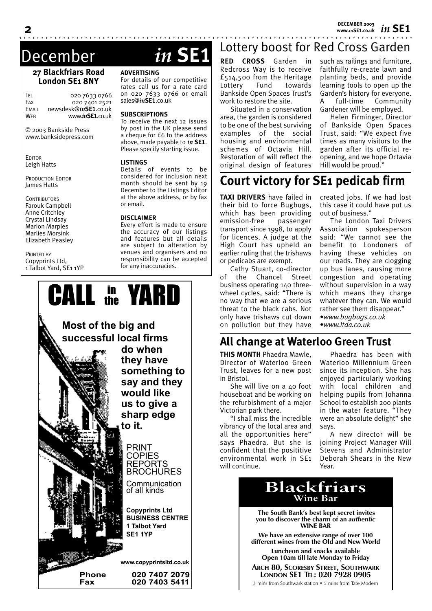*in* **SE1 DECEMBER 2003 www.***in***SE1.co.uk**

# December *in* **SE1**

### **27 Blackfriars Road London SE1 8NY**

TEL 020 7633 0766 020 7401 2521 EMAIL newsdesk@*in***SE1**.co.uk WEB www.*in***SE1**.co.uk

© 2003 Bankside Press www.banksidepress.com

**EDITOR** Leigh Hatts

PRODUCTION EDITOR James Hatts

**CONTRIBUTORS** Farouk Campbell Anne Critchley Crystal Lindsay Marion Marples Marlies Morsink Elizabeth Peasley

PRINTED BY Copyprints Ltd, 1 Talbot Yard, SE1 1YP

### **ADVERTISING**

rates call us for a rate card on 020 7633 0766 or email sales@*in***SE1**.co.uk

### **SUBSCRIPTIONS**

by post in the UK please send a cheque for £6 to the address above, made payable to *in* **SE1**. Please specify starting issue.

### **LISTINGS**

considered for inclusion next month should be sent by 19 December to the Listings Editor at the above address, or by fax or email.

### **DISCLAIMER**

Every effort is made to ensure the accuracy of our listings and features but all details are subject to alteration by venues and organisers and no responsibility can be accepted for any inaccuracies.



For details of our competitive

To receive the next 12 issues

Details of events to be

### Lottery boost for Red Cross Garden

**RED CROSS** Garden in Redcross Way is to receive £514,500 from the Heritage Lottery Fund towards Bankside Open Spaces Trust's work to restore the site.

Situated in a conservation area, the garden is considered to be one of the best surviving examples of the social housing and environmental schemes of Octavia Hill. Restoration of will reflect the original design of features

such as railings and furniture, faithfully re-create lawn and planting beds, and provide learning tools to open up the Garden's history for everyone. A full-time Community Gardener will be employed.

Helen Firminger, Director of Bankside Open Spaces Trust, said: "We expect five times as many visitors to the garden after its official reopening, and we hope Octavia Hill would be proud."

## **Court victory for SE1 pedicab firm**

**TAXI DRIVERS** have failed in their bid to force Bugbugs, which has been providing emission-free passenger transport since 1998, to apply for licences. A judge at the High Court has upheld an earlier ruling that the trishaws or pedicabs are exempt.

Cathy Stuart, co-director of the Chancel Street business operating 140 threewheel cycles, said: "There is no way that we are a serious threat to the black cabs. Not only have trishaws cut down on pollution but they have

created jobs. If we had lost this case it could have put us out of business."

The London Taxi Drivers Association spokesperson said: "We cannot see the benefit to Londoners of having these vehicles on our roads. They are clogging up bus lanes, causing more congestion and operating without supervision in a way which means they charge whatever they can. We would rather see them disappear." •*www.bugbugs.co.uk*

•*www.ltda.co.uk*

### **All change at Waterloo Green Trust**

**THIS MONTH** Phaedra Mawle, Director of Waterloo Green Trust, leaves for a new post in Bristol.

She will live on a 40 foot houseboat and be working on the refurbishment of a major Victorian park there.

"I shall miss the incredible vibrancy of the local area and all the opportunities here" says Phaedra. But she is confident that the posititive environmental work in SE1 will continue.

Phaedra has been with Waterloo Millennium Green since its inception. She has enjoyed particularly working with local children and helping pupils from Johanna School to establish 200 plants in the water feature. "They were an absolute delight" she says.

A new director will be joining Project Manager Will Stevens and Administrator Deborah Shears in the New Year.



3 mins from Southwark station • 5 mins from Tate Modern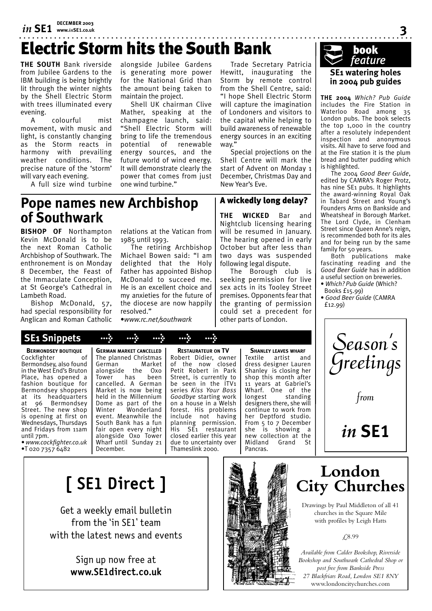# *in* **SE1 DECEMBER 2003 www.***in***SE1.co.uk**

# Electric Storm hits the South Bank

**THE SOUTH** Bank riverside from Jubilee Gardens to the IBM building is being brightly lit through the winter nights by the Shell Electric Storm with trees illuminated every evening.

A colourful mist movement, with music and light, is constantly changing as the Storm reacts in harmony with prevailing weather conditions. The precise nature of the 'storm' will vary each evening.

A full size wind turbine

alongside Jubilee Gardens is generating more power for the National Grid than the amount being taken to maintain the project.

Shell UK chairman Clive Mather, speaking at the champagne launch, said: "Shell Electric Storm will bring to life the tremendous potential of renewable energy sources, and the future world of wind energy. It will demonstrate clearly the power that comes from just one wind turbine."

Trade Secretary Patricia Hewitt, inaugurating the Storm by remote control from the Shell Centre, said: "I hope Shell Electric Storm will capture the imagination of Londoners and visitors to the capital while helping to build awareness of renewable energy sources in an exciting way.'

Special projections on the Shell Centre will mark the start of Advent on Monday 1 December, Christmas Day and New Year's Eve.

### A wickedly long delay?

**THE WICKED** Bar and Nightclub licensing hearing will be resumed in January. The hearing opened in early October but after less than two days was suspended following legal dispute.

The Borough club is seeking permission for live sex acts in its Tooley Street premises. Opponents fear that the granting of permission could set a precedent for other parts of London.

### **SE1 watering holes in 2004 pub guides book**<br>feature

**3**

**THE 2004** *Which? Pub Guide* includes the Fire Station in Waterloo Road among 35 London pubs. The book selects the top 1,000 in the country after a resolutely independent inspection and anonymous visits. All have to serve food and at the Fire station it is the plum bread and butter pudding which is highlighted.

The 2004 *Good Beer Guide*, edited by CAMRA's Roger Protz, has nine SE1 pubs. It highlights the award-winning Royal Oak in Tabard Street and Young's Founders Arms on Bankside and Wheatsheaf in Borough Market. The Lord Clyde, in Clenham Street since Queen Anne's reign, is recommended both for its ales and for being run by the same family for 50 years.

Both publications make fascinating reading and the *Good Beer Guide* has in addition a useful section on breweries.

- • *Which? Pub Guide* (Which? Books £15.99)
- • *Good Beer Guide* (CAMRA £12.99)



### **Pope names new Archbishop of Southwark**

**BISHOP OF** Northampton Kevin McDonald is to be the next Roman Catholic Archbishop of Southwark. The enthronement is on Monday 8 December, the Feast of the Immaculate Conception, at St George's Cathedral in Lambeth Road.

Bishop McDonald, 57, had special responsibility for Anglican and Roman Catholic

relations at the Vatican from 1985 until 1993.

The retiring Archbishop Michael Bowen said: "I am delighted that the Holy Father has appointed Bishop McDonald to succeed me. He is an excellent choice and my anxieties for the future of the diocese are now happily resolved."

•*www.rc.net/southwark*

**BERMONDSEY BOUTIQUE** Cockfighter of Bermondsey, also found in the West End's Bruton Place, has opened a fashion boutique for Bermondsey shoppers at its headquarters<br>at 96 Bermondsev at 96 Bermondsey Street. The new shop is opening at first on Wednesdays, Thursdays

until 7pm. • *www.cockfighter.co.uk* •T 020 7357 6482

and Fridays from 11am

**GERMAN MARKET CANCELLED** The planned Christmas German<br>alongside alongside the Oxo Tower has been cancelled. A German Market is now being held in the Millennium Dome as part of the Winter Wonderland event. Meanwhile the South Bank has a fun fair open every night alongside Oxo Tower Wharf until Sunday 21 December.

 **SE1 Snippets > > > > >**

**RESTAURATEUR ON TV** Robert Didier, owner of the now closed Petit Robert in Park Street, is currently to be seen in the ITV1 series *Kiss Your Boss Goodbye* starting work on a house in a Welsh forest. His problems include not having planning permission.<br>His SE1 restaurant i restaurant closed earlier this year due to uncertainty over Thameslink 2000.

**SHANLEY LEAVES WHARF** Textile artist and dress designer Lauren Shanley is closing her shop this month after 11 years at Gabriel's Wharf. One of the longest standing designers there, she will continue to work from her Deptford studio. From 5 to 7 December she is showing a new collection at the<br>Midland Grand St Midland Pancras.

# **[ SE1 Direct ]**

Get a weekly email bulletin from the 'in SE1' team with the latest news and events

> Sign up now free at **www.SE1direct.co.uk**



# **London City Churches**

Drawings by Paul Middleton of all 41 churches in the Square Mile with profiles by Leigh Hatts

£8.99

*Available from Calder Bookshop, Riverside Bookshop and Southwark Cathedral Shop or post free from Bankside Press 27 Blackfriars Road, London SE1 8NY* www.londoncitychurches.com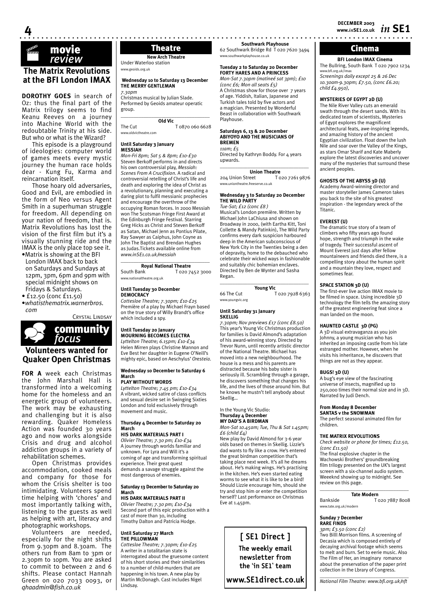# movie · *review*

**4**

### **The Matrix Revolutions at the BFI London IMAX**

**DOROTHY GOES** in search of Oz: thus the final part of the Matrix trilogy seems to find Keanu Reeves on a journey into Machine World with the redoubtable Trinity at his side. But who or what is the Wizard?

This episode is a playground of ideologies: computer world of games meets every mystic journey the human race holds dear - Kung Fu, Karma and reincarnation itself.

Those hoary old adversaries, Good and Evil, are embodied in the form of Neo versus Agent Smith in a superhuman struggle for freedom. All depending on your nation of freedom, that is. Matrix Revolutions has lost the vision of the first film but it's a visually stunning ride and the IMAX is the only place top see it. •Matrix is showing at the BFI

- London IMAX back to back on Saturdays and Sundays at 12pm, 3pm, 6pm and 9pm with special midnight shows on Fridays & Saturdays.
- £12.50 (conc £11.50)
- •*whatisthematrix.warnerbros. com*

CRYSTAL LINDSAY community\_ *focus*

**Volunteers wanted for Quaker Open Christmas**

**FOR A** week each Christmas the John Marshall Hall is transformed into a welcoming home for the homeless and an energetic group of volunteers. The work may be exhausting and challenging but it is also rewarding. Quaker Homeless Action was founded 30 years ago and now works alongside Crisis and drug and alcohol addiction groups in a variety of rehabilitation schemes.

Open Christmas provides accommodation, cooked meals and company for those for whom the Crisis shelter is too intimidating. Volunteers spend time helping with 'chores' and most importantly talking with, listening to the guests as well as helping with art, literacy and photographic workshops.

Volunteers are needed, especially for the night shifts from 9.30pm and 8.30am. The others run from 8am to 3pm or 2.30pm to 10pm. You are asked to commit to between 2 and 6 shifts. Please contact Hannah Green on 020 7033 0093, or *qhaadmin@fish.co.uk*

**New Arch Theatre**

Under Waterloo station www.geoids.org.ul

### **Wednesday 10 to Saturday 13 December THE MERRY GENTLEMAN**

*7.30pm* Christmas musical by Julian Slade. Performed by Geoids amateur operatic group. \_\_\_\_\_\_\_\_\_\_\_\_\_\_\_\_\_\_\_\_\_\_\_\_\_\_\_\_\_\_\_\_\_\_\_

**Old Vic**<br>T 0870 060 6628 www.oldvictheatre.com

### **Until Saturday 3 January MESSIAH**

*Mon-Fri 8pm; Sat 5 & 8pm; £10-£30* Steven Berkoff performs in and directs his own controversial play, *Messiah: Scenes From A Crucifixion*. A radical and controversial retelling of Christ's life and death and exploring the idea of Christ as a revolutionary, planning and executing a daring plot to fulfil messianic prophecies and encourage the overthrow of the occupying Roman forces. In 2000 Messiah won The Scotsman Fringe First Award at the Edinburgh Fringe Festival. Starring Greg Hicks as Christ and Steven Berkoff as Satan, Michael Jenn as Pontius Pilate, Ray Sawyer as Caiphus, John Coyne as John The Baptist and Brendan Hughes as Judas.Tickets available online from *www.inSE1.co.uk/messiah*

### \_\_\_\_\_\_\_\_\_\_\_\_\_\_\_\_\_\_\_\_\_\_\_\_\_\_\_\_\_\_\_\_\_\_\_ **Royal National Theatre**<br>South Bank **T** 020.7

T 020 7452 3000 www.nationaltheatre.org.uk

### **Until Tuesday 30 December DEMOCRACY**

*Cottesloe Theatre; 7.30pm; £10-£25* Première of a play by Michael Frayn based on the true story of Willy Brandt's office which included a spy.

### **Until Tuesday 20 January MOURNING BECOMES ELECTRA**

*Lyttelton Theatre; 6.15pm; £10-£34* Helen Mirren plays Christine Mannon and Eve Best her daughter in Eugene O'Neill's mighty epic, based on Aeschylus' *Oresteia*.

### **Wednesday 10 December to Saturday 6 March**

### **PLAY WITHOUT WORDS**

*Lyttelton Theatre; 7.45 pm; £10-£34* A vibrant, wicked satire of class conflicts and sexual desire set in Swinging Sixties London and told exclusively through movement and music.

### **Thursday 4 December to Saturday 20 March**

### **HIS DARK MATERIALS PART I**

*Olivier Theatre; 7.30 pm; £10-£34* A journey through worlds familiar and unknown. For Lyra and Will it's a coming of age and transforming spiritual experience. Their great quest demands a savage struggle against the most dangerous of enemies.

### **Saturday 13 December to Saturday 20 March**

### **HIS DARK MATERIALS PART II**

*Olivier Theatre; 7.30 pm; £10-£34* Second part of this epic production with a cast of more than 30, including Timothy Dalton and Patricia Hodge.

### **Until Saturday 27 March THE PILLOWMAN**

*Cottesloe Theatre; 7.30pm; £10-£25* A writer in a totalitarian state is interrogated about the gruesome content of his short stories and their similarities to a number of child-murders that are happening in his town. A new play by Martin McDonagh. Cast includes Nigel Lindsay.

**Southwark Playhouse Theatre** 62 Southwark Bridge Rd T 020 7620 3494 www.southwarkplayhouse.co.uk

### **Tuesday 2 to Saturday 20 December FORTY HARES AND A PRINCESS**

*Mon-Sat 7.30pm (matineé sat 3pm); £10 (conc £6; Mon all seats £5)* A Christmas show for those over 7 years of age. Yiddish, Italian, Japanese and Turkish tales told by five actors and a magician. Presented by Wonderful Beast in collaboration with Southwark Playhouse.

### **Saturdays 6, 13 & 20 December ABIYOYO AND THE MUSICIANS OF BREMEN**

### *11am; £5*

Directed by Kathryn Boddy. For 4 years upwards.  $\_$ 

**Union Theatre** 204 Union Street T 020 7261 9876

### www.uniontheatre.freeserve.co.uk **Wednesday 3 to Saturday 20 December**

### **THE WILD PARTY**  *Tue-Sat; £12 (conc £8 )*

Musical's London première. Written by Michael John LaChiusa and shown on Broadway in 2000, (with Eartha Kitt, Toni Collette & Mandy Patinkin), The Wild Party confirms every dark suspicion harboured deep in the American subconscious of New York City in the Twenties being a den of depravity, home to the debauched who celebrate their wicked ways in fashionable and suitably chic bohemian enclaves. Directed by Ben de Wynter and Sasha Regan. \_\_\_\_\_\_\_\_\_\_\_\_\_\_\_\_\_\_\_\_\_\_\_\_\_\_\_\_\_\_\_\_\_\_\_

### **Young Vic**

66 The Cut T 020 7928 6363 www.youngvic.org

### **Until Saturday 31 January SKELLIG**

*7.30pm; Nov previews £17 (conc £8.50)* This year's Young Vic Christmas production for families is David Almond's adaptation of his award-winning story. Directed by Trevor Nunn, until recently artistic director of the National Theatre. Michael has moved into a new neighbourhood. The house is a mess and his parents are distracted because his baby sister is seriously ill. Scrambling through a garage, he discovers something that changes his life, and the lives of those around him. But he knows he mustn't tell anybody about Skellig…

### In the Young Vic Studio: **Thursday 4 December MY DAD'S A BIRDMAN**

*Mon-Sat 10.45am; Tue, Thu & Sat 1.45pm; £6 (child £4)*

New play by David Almond for 3-6 year olds based on themes in Skellig. Lizzie's dad wants to fly like a crow. He's entered the great birdman competition that's taking place next week. It's all he dreams about. He's making wings. He's practising in the kitchen. He's even started eating worms to see what it is like to be a bird! Should Lizzie encourage him, should she try and stop him or enter the competition herself? Last performance on Christmas Eve at  $1.45$ pm.

> **[ SE1 Direct ] The weekly email newsletter from the 'in SE1' team**

**www.SE1direct.co.uk**

**BFI London IMAX Cinema** The Bullring, South Bank T 020 7902 1234 ww.bfi.org.uk/i *Screenings daily except 25 & 26 Dec 10.30am-9.30pm; £7.50, (conc £6.20; child £4.950),*

### **MYSTERIES OF EGYPT 2D (U)**

The Nile River Valley cuts an emerald swath through the desert sands. With its dedicated team of scientists, Mysteries of Egypt explores the magnificent architectural feats, awe-inspiring legends, and amazing history of the ancient Egyptian civilization. Float down the lush Nile and soar over the Valley of the Kings, as stars Omar Sharif and Kate Maberly explore the latest discoveries and uncover many of the mysteries that surround these ancient peoples.

### **GHOSTS OF THE ABYSS 3D (U)**

Academy Award-winning director and master storyteller James Cameron takes you back to the site of his greatest inspiration - the legendary wreck of the Titanic.

### **EVEREST (U)**

The dramatic true story of a team of climbers who fifty years ago found hope, strength and triumph in the wake of tragedy. Their successful ascent of Mount Everest just days after fellow mountaineers and friends died there, is a compelling story about the human spirit and a mountain they love, respect and sometimes fear.

### **SPACE STATION 3D (U)**

The first-ever live action IMAX movie to be filmed in space. Using incredible 3D technology the film tells the amazing story of the greatest engineering feat since a man landed on the moon.

### **HAUNTED CASTLE 3D (PG)**

A 3D visual extravaganza as you join Johnny, a young musician who has inherited an imposing castle from his late estranged mother. However, when he visits his inheritance, he discovers that things are not as they appear.

### **BUGS! 3D (U)**

A bug's eye view of the fascinating universe of insects, magnified up to 250,000 times their normal size and in 3D. Narrated by Judi Dench.

### **From Monday 8 December**

**SANTAS v the SNOWMAN** The perfect seasonal animated film for children.

### **THE MATRIX REVOLUTIONS**

*Check website or phone for times; £12.50, (conc £11.50)* The final explosive chapter in the Wachowski Brothers' groundbreaking film trilogy presented on the UK's largest screen with a six-channel audio system. Weeeknd showing up to midnight. See

### $\_$ **Tate Modern**

Bankside T 020 7887 8008 www.tate.org.uk/modern

### **Sunday 7 December RARE FINDS**

review on this page.

*3pm; £3.50 (conc £2)* Two Billl Morrison films. A screening of Decasia which is composed entirely of decaying archival footage which seems to melt and burn. Set to eerie music. Also The Film of Her, an imaginary romance about the preservation of the paper print collection in the Lbrary of Congress.

\_\_\_\_\_\_\_\_\_\_\_\_\_\_\_\_\_\_\_\_\_\_\_\_\_\_\_\_\_\_\_\_\_\_\_ *National Film Theatre: www.bfi.org.uk/nft*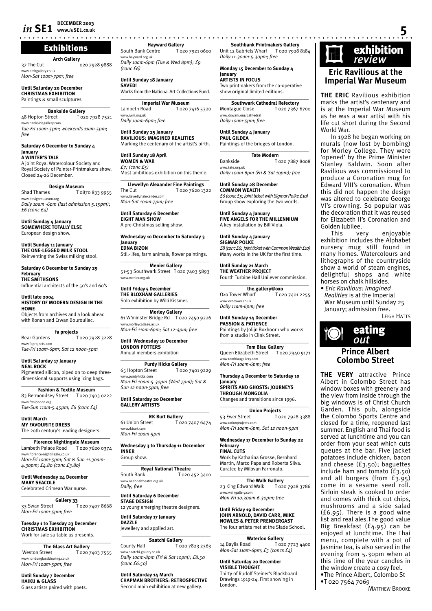### Exhibitions

**Arch Gallery**

37 The Cut 020 7928 9888 w.archgallery.co.uk *Mon-Sat 10am-7pm; free*

**Until Saturday 20 December CHRISTMAS EXHIBITION** Paintings & small sculptures

 $\overline{\phantom{a}}$  , where  $\overline{\phantom{a}}$  , where  $\overline{\phantom{a}}$  , where  $\overline{\phantom{a}}$ **Bankside Gallery**<br>Street T020 7928 7521 48 Hopton Street www.banksidegallery.com *Tue-Fri 10am-5pm; weekends 11am-5pm; free*

**Saturday 6 December to Sunday 4 January**

**A WINTER'S TALE**  A joint Royal Watercolour Society and Royal Society of Painter-Printmakers show. Closed 24-26 December.

\_\_\_\_\_\_\_\_\_\_\_\_\_\_\_\_\_\_\_\_\_\_\_\_\_\_\_\_\_\_\_\_\_\_\_ **Design Museum**

Shad Thames T 0870 833 9955 www.designmuseum.org *Daily 10am -6pm (last admission 5.15pm); £6 (conc £4)*

**Until Sunday 4 January SOMEWHERE TOTALLY ELSE** European design show.

**Until Sunday 11 January THE ONE-LEGGED MILK STOOL** Reinventing the Swiss milking stool.

**Saturday 6 December to Sunday 29 February THE SMITHSONS** 

Influential architects of the 50's and 60's

**Until late 2004 HISTORY OF MODERN DESIGN IN THE HOME** Objects from archives and a look ahead

with Ronan and Erwan Bouroullec. \_\_\_\_\_\_\_\_\_\_\_\_\_\_\_\_\_\_\_\_\_\_\_\_\_\_\_\_\_\_\_\_\_\_\_ **fa projects**

Bear Gardens T 020 7928 3228 www.faprojects.com *Tue-Fri 10am-6pm; Sat 12 noon-5pm*

**Until Saturday 17 January NEAL ROCK**  Pigmented silicon, piped on to deep threedimensional supports using icing bags.

\_\_\_\_\_\_\_\_\_\_\_\_\_\_\_\_\_\_\_\_\_\_\_\_\_\_\_\_\_\_\_\_\_\_\_ **Fashion & Textile Museum** 83 Bermondsey Street T 020 7403 0222 www.ftmlondon.org *Tue-Sun 11am-5.45pm; £6 (conc £4)*

**Until March MY FAVOURITE DRESS** The 20th century's leading designers.

\_\_\_\_\_\_\_\_\_\_\_\_\_\_\_\_\_\_\_\_\_\_\_\_\_\_\_\_\_\_\_\_\_\_\_ **Florence Nightingale Museum**<br>eth Palace Road T 020 7620 0374 Lambeth Palace Road www.florence-nightingale.co.uk *Mon-Fri 10am-5pm; Sat & Sun 11.30am-4.30pm; £4.80 (conc £3.80)*

**Until Wednesday 24 December MARY SEACOLE** Celebrated Crimean War nurse.

\_\_\_\_\_\_\_\_\_\_\_\_\_\_\_\_\_\_\_\_\_\_\_\_\_\_\_\_\_\_\_\_\_\_\_ **Gallery 33** 33 Swan Street T 020 7407 8668 *Mon-Fri 10am-5pm; free*

**Tuesday 1 to Tuesday 23 December CHRISTMAS EXHIBITION** Work for sale suitable as presents.

 $\_$ **The Glass Art Gallery** Weston Street T 020 7403 7555 www.londonglassblowing.co.uk *Mon-Fri 10am-5pm; free*

**Until Sunday 7 December HAIKU & GLASS** Glass artists paired with poets.

**Hayward Gallery**<br>Centre T 020 7921 0600 South Bank Centre www.hayward.org.uk *Daily 10am-6pm (Tue & Wed 8pm); £9 (conc £6)* 

**Until Sunday 18 January SAVED!** Works from the National Art Collections Fund.

 $\overline{\phantom{a}}$  , and the set of the set of the set of the set of the set of the set of the set of the set of the set of the set of the set of the set of the set of the set of the set of the set of the set of the set of the s **Imperial War Museum**<br>**I** ambeth Road **I** D20 3 T 020 7416 5320 www.iwm.org.uk *Daily 10am-6pm; free* 

**Until Sunday 25 January RAVILIOUS: IMAGINED REALITIES** Marking the centenary of the artist's birth.

**Until Sunday 18 April WOMEN & WAR** *£7; (conc £5)* Most ambitious exhibition on this theme.

 $\overline{\phantom{a}}$  , and the set of the set of the set of the set of the set of the set of the set of the set of the set of the set of the set of the set of the set of the set of the set of the set of the set of the set of the s **Llewellyn Alexander Fine Paintings** The Cut T 020 7620 1322 www.llewellynalexander.com *Mon-Sat 10am-7pm; free*

**Until Saturday 6 December EIGHT MAN SHOW** A pre-Christmas selling show.

**Wednesday 10 December to Saturday 3 January EDNA BIZON** Still-lifes, farm animals, flower paintings.

 $\overline{\phantom{a}}$  , and the set of the set of the set of the set of the set of the set of the set of the set of the set of the set of the set of the set of the set of the set of the set of the set of the set of the set of the s **Menier Gallery** 51-53 Southwark Street T 020 7403 5893 www.menier.org.uk

**Until Friday 5 December THE BLOXHAM GALLERIES** Solo exhibition by Willi Kissmer.  $\overline{\phantom{a}}$  , and the set of the set of the set of the set of the set of the set of the set of the set of the set of the set of the set of the set of the set of the set of the set of the set of the set of the set of the s

**Morley Gallery** 61 W'minster Bridge Rd T 020 7450 9226 .<br>www.morleycollege.ac.uk *Mon-Fri 11am-6pm; Sat 12-4pm; free*

**Until Wednesday 10 December LONDON POTTERS** Annual members exhibition

**Purdy Hicks Gallery**<br>Street T 020 7401 9229 65 Hopton Street -<br>ww.nurdyhicks.com *Mon-Fri 10am-5.30pm (Wed 7pm); Sat & Sun 12 noon-5pm; free*

\_\_\_\_\_\_\_\_\_\_\_\_\_\_\_\_\_\_\_\_\_\_\_\_\_\_\_\_\_\_\_\_\_\_\_

**Until Saturday 20 December GALLERY ARTISTS**

**RK Burt Gallery** 61 Union Street T 020 7407 6474 www.rkburt.com *Mon-Fri 10am-5pm*

 $\overline{\phantom{a}}$  , and the set of the set of the set of the set of the set of the set of the set of the set of the set of the set of the set of the set of the set of the set of the set of the set of the set of the set of the s

**Wednesday 3 to Thursday 11 December INNER** Group show.

\_\_\_\_\_\_\_\_\_\_\_\_\_\_\_\_\_\_\_\_\_\_\_\_\_\_\_\_\_\_\_\_\_\_\_

**Royal National Theatre**<br>South Bank To20 T 020 452 3400 www.nationaltheatre.org.uk *Daily; free*

**Until Saturday 6 December STAGE DESIGN**

12 young emerging theatre designers. **Until Saturday 17 January**

**DAZZLE** Jewellery and applied art.

 $\overline{\phantom{a}}$  , and the set of the set of the set of the set of the set of the set of the set of the set of the set of the set of the set of the set of the set of the set of the set of the set of the set of the set of the s **Saatchi Gallery** County Hall T 020 7823 2363 www.saatchi-gallery.co.uk *Daily 10am-8pm (Fri & Sat 10pm); £8.50* 

*(conc £6.50)* **Until Saturday 14 March**

**CHAPMAN BROTHERS: RETROSPECTIVE** Second main exhibition at new gallery.

**www.***in***SE1.co.uk 5 Southbank Printmakers Gallery** Unit 12 Gabriels Wharf T 020 7928 8184 *Daily 11.30am-5.30pm; free*

> **Monday 15 December to Sunday 4 January ARTISTS IN FOCUS** Two printmakers from the co-operative

show original limited editions.  $\overline{\phantom{a}}$  , and the set of the set of the set of the set of the set of the set of the set of the set of the set of the set of the set of the set of the set of the set of the set of the set of the set of the set of the s **Southwark Cathedral Refectory**<br>Montague Close T 020 7367 T 020 7367 6700

www.dswark.org/cathedral *Daily 10am-5pm; free* **Until Sunday 4 January**

**PAUL GILDEA** Paintings of the bridges of London.

 $\overline{\phantom{a}}$  , and the set of the set of the set of the set of the set of the set of the set of the set of the set of the set of the set of the set of the set of the set of the set of the set of the set of the set of the s **Tate Modern** Bankside T 020 7887 8008 www.tate.org.uk *Daily 10am-6pm (Fri & Sat 10pm); free*

**Until Sunday 28 December COMMON WEALTH** *£6 (conc £5; joint ticket with Sigmar Polke £10)* Group show exploring the two words.

**Until Sunday 4 January FIVE ANGELS FOR THE MILLENNIUM** A key installation by Bill Viola.

**Until Sunday 4 January SIGMAR POLKE** *£8 (conc £6; joint ticket with Common Wealth £10)* Many works in the UK for the first time.

**Until Sunday 21 March THE WEATHER PROJECT** Fourth Turbine Hall Unilever commission.  $\overline{\phantom{a}}$  , and the set of the set of the set of the set of the set of the set of the set of the set of the set of the set of the set of the set of the set of the set of the set of the set of the set of the set of the s

**the.gallery@oxo**<br>Oxo Tower Wharf To2 T 020 7401 2255 w.oxotower.co.uk *Daily 11am-6pm; free*

**Until Sunday 14 December PASSION & PATIENCE** Paintings by Jolijn Boxhoorn who works from a studio in Clink Street.

\_\_\_\_\_\_\_\_\_\_\_\_\_\_\_\_\_\_\_\_\_\_\_\_\_\_\_\_\_\_\_\_\_\_\_ **Tom Blau Gallery**

Queen Elizabeth Street T 020 7940 9171 www.tomblaugallery.com *Mon-Fri 10am-6pm; free*

**Thursday 4 December to Saturday 10 January SPIRITS AND GHOSTS: JOURNEYS THROUGH MONGOLIA** Changes and transitions since 1996.

 $\overline{\phantom{a}}$  , and the set of the set of the set of the set of the set of the set of the set of the set of the set of the set of the set of the set of the set of the set of the set of the set of the set of the set of the s **Union Projects**<br>53 Ewer Street To T 020 7928 3388 www.unionprojects.com *Mon-Fri 10am-6pm, Sat 12 noon-5pm*

**Wednesday 17 December to Sunday 22 February**

**FINAL CUTS** Work by Katharina Grosse, Bernhard Martin, Marco Papa and Roberta Silva. Curated by Milovan Farronato.

\_\_\_\_\_\_\_\_\_\_\_\_\_\_\_\_\_\_\_\_\_\_\_\_\_\_\_\_\_\_\_\_\_\_\_ **The Walk Gallery** 23 King Edward Walk T 020 7928 3786 .<br>w.walkgallery.com *Mon-Fri 10.30am-6.30pm; free*

**Until Friday 19 December JOHN ARNOLD, DAVID CARR, MIKE NOWLES & PETER PRENDERGAST**

The four artists met at the Slade School.  $\_$ 

**Waterloo Gallery**<br>14 Baylis Road To<sub>2</sub> T 020 7723 4400 *Mon-Sat 11am-6pm; £5 (concs £4)*

**Until Saturday 20 December VISIBLE THOUGHT** Thirty of Rudolf Steiner's Blackboard Drawings 1919-24. First showing in London.

# **Exhibition**<br>*review*

### **Eric Ravilious at the Imperial War Museum**

**THE ERIC** Ravilious exhibition marks the artist's centenary and is at the Imperial War Museum as he was a war artist with his life cut short during the Second World War.

In 1928 he began working on murals (now lost by bombing) for Morley College. They were 'opened' by the Prime Minister Stanley Baldwin. Soon after Ravilious was commissioned to produce a Coronation mug for Edward VIII's coronation. When this did not happen the design was altered to celebrate George VI's crowning. So popular was the decoration that it was reused for Elizabeth II's Coronation and Golden Jubilee.<br>This ve

very enjoyable exhibition includes the Alphabet nursery mug still found in many homes. Watercolours and lithographs of the countryside show a world of steam engines, delightful shops and white horses on chalk hillsides.

• *Eric Ravilious: Imagined Realities* is at the Imperial War Museum until Sunday 25 January; admission free. LEIGH HATTS



# **Colombo Street**

**THE VERY** attractive Prince Albert in Colombo Street has window boxes with greenery and the view from inside through the big windows is of Christ Church Garden. This pub, alongside the Colombo Sports Centre and closed for a time, reopened last summer. English and Thai food is served at lunchtime and you can order from your seat which cuts queues at the bar. Five jacket potatoes include chicken, bacon and cheese (£3.50); baguettes include ham and tomato (£3.50) and all burgers (from £3.95) come in a sesame seed roll. Sirloin steak is cooked to order and comes with thick cut chips, mushrooms and a side salad (£6.95). There is a good wine list and real ales.The good value Big Breakfast (£4.95) can be enjoyed at lunchtime. The Thai menu, complete with a pot of Jasmine tea, is also served in the evening from 5.30pm when at this time of the year candles in the window create a cosy feel. •The Prince Albert, Colombo St

•T 020 7564 7069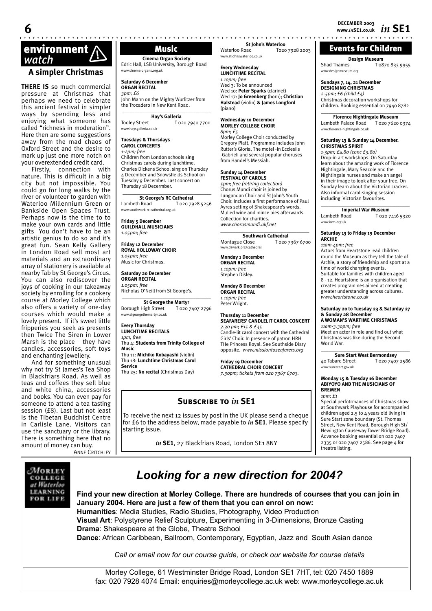### Events for Children

**Design Museum**

Shad Thames T 0870 833 9955 w.designmuseum.org

### **Sundays 7, 14, 21 December DESIGNING CHRISTMAS**

*2-5pm; £6 (child £4)*

Christmas decoration workshops for

children. Booking essential on 7940 8782  $\_$ **Florence Nightingale Museum**

Lambeth Palace Road T 020 7620 0374 www.florence-nightingale.co.uk

### **Saturday 13 & Sunday 14 December. CHRISTMAS SPIRIT**

*1-3pm; £4.80 (conc £3.80)* Drop-in art workshops. On Saturday learn about the amazing work of Florence Nightingale, Mary Seacole and the Nightingale nurses and make an angel in their image to look after your tree. On Sunday learn about the Victorian cracker. Also informal carol-singing session including Victorian favourites.

 $\overline{\phantom{a}}$  , and the set of the set of the set of the set of the set of the set of the set of the set of the set of the set of the set of the set of the set of the set of the set of the set of the set of the set of the s **Imperial War Museum**<br>Lambeth Road **I** 020 7 T 020 7416 5320 www.iwm.org.uk

**Saturday 13 to Friday 19 December ARCHIE**

*11am-4pm; free* Actors from Heartstone lead children round the Museum as they tell the tale of Archie, a story of friendship and sport at a time of world changing events. Suitable for families with children aged 8 - 12. Heartstone is an organisation that creates programmes aimed at creating greater understanding across cultures. *www.heartstone.co.uk*

### **Saturday 20 to Tuesday 23 & Saturday 27 & Sunday 28 December A WOMAN'S WARTIME CHRISTMAS**

*11am-3.30pm; free* Meet an actor in role and find out what Christmas was like during the Second World War.

 $\_$ **Sure Start West Bermondsey** 40 Tabard Street T 020 7407 2586 www.surestart.gov.uk

### **Monday 15 & Tuesday 16 December ABIYOYO AND THE MUSICIANS OF BREMEN** *1pm; £1*

Special perfotrmances of Christmas show at Southwark Playhouse for accompanied children aged 2.5 to 4 years old living in Sure Start zone boundary (St. Thomas Street, New Kent Road, Borough High St/ Newington Causeway Tower Bridge Road). Advance booking essential on 020 7407 2335 or 020 7407 2586. See page 4 for theatre listing.

# **environment**<br> *Watch* **Music** *Watch* **(***Cinema Organ S* **Cinema Organ S** Edric Hall, LSB University, I

### **A simpler Christmas**

**THERE IS** so much commercial pressure at Christmas that perhaps we need to celebrate this ancient festival in simpler ways by spending less and enjoying what someone has called "richness in moderation". Here then are some suggestions away from the mad chaos of Oxford Street and the desire to mark up just one more notch on your overextended credit card.

Firstly, connection with nature. This is difficult in a big city but not impossible. You could go for long walks by the river or volunteer to garden with Waterloo Millennium Green or Bankside Open Spaces Trust. Perhaps now is the time to to make your own cards and little gifts You don't have to be an artistic genius to do so and it's great fun. Sean Kelly Gallery in London Road sell most art materials and an extraordinary array of stationery is available at nearby Tab by St George's Circus. You can also rediscover the joys of cooking in our takeaway society by enrolling for a cookery course at Morley College which also offers a variety of one-day courses which would make a lovely present. If it's sweet little fripperies you seek as presents then Twice The Siren in Lower Marsh is the place – they have candles, accessories, soft toys and enchanting jewellery.

And for something unusual why not try St James's Tea Shop in Blackfriars Road. As well as teas and coffees they sell blue and white china, accessories and books. You can even pay for someone to attend a tea tasting session (£8). Last but not least is the Tibetan Buddhist Centre in Carlisle Lane. Visitors can use the sanctuary or the library. There is something here that no amount of money can buy.

**ANNE CRITCHLEY** 

**Cinema Organ Society** Edric Hall, LSB University, Borough Road www.cinema-organs.org.uk

**Saturday 6 December ORGAN RECITAL**

*3pm; £6* John Mann on the Mighty Wurlitzer from the Trocadero in New Kent Road.

### **\_\_\_\_\_\_\_\_\_\_\_\_\_\_\_\_\_\_\_\_\_\_\_\_\_\_\_\_\_\_\_\_\_\_\_ Hay's Galleria**

Tooley Street T 020 7940 7700 www.haysgalleria.co.uk

### **Tuesdays & Thursdays CAROL CONCERTS**

*1-2pm; free* Children from London schools sing Christmas carols during lunchtime. Charles Dickens School sing on Thursday 4 December and Snowsfields School on Tuesday 9 December. Last concert on Thursday 18 Decermber.

### $\_$ **St George's RC Cathedral**

Lambeth Road T 020 7928 5256 www.southwark-rc-cathedral.org.uk

**Friday 5 December GUILDHALL MUSICIANS** *1.05pm; free*

**Friday 12 December ROYAL HOLLOWAY CHOIR** *1.05pm; free* Music for Christmas.

### **Saturday 20 December ORGAN RECITAL**

*1.05pm; free* Nicholas O'Neill from St George's.

**\_\_\_\_\_\_\_\_\_\_\_\_\_\_\_\_\_\_\_\_\_\_\_\_\_\_\_\_\_\_\_\_\_\_\_ St George the Martyr** Borough High Street T 020 7407 2796 www.stgeorgethemartyr.co.uk

**Every Thursday LUNCHTIME RECITALS** *1pm; free*

Thu 4: **Students from Trinity College of Music**  Thu 11: **Michiko Kobayashi** (violin)

Thu 18: **Lunchtime Christmas Carol Service**

Thu 25: **No recital** (Christmas Day)

Collection for charities. *www.chorusmundi.ukf.net* \_\_\_\_\_\_\_\_\_\_\_\_\_\_\_\_\_\_\_\_\_\_\_\_\_\_\_\_\_\_\_\_\_\_\_ **Southwark Cathedral**<br>Montague Close T 020 7 T 020 7367 6700 w.dswark.org/cathedral

**St John's Waterloo**<br>To2c Waterloo Road

www.stjohnswaterloo.co.uk **Every Wednesday LUNCHTIME RECITAL** *1.10pm; free*

Wed 3: To be announced Wed 10: **Peter Sparks** (clarinet) Wed 17: **Jo Greenberg** (horn); **Christian Halstead** (violin) **& James Longford** 

**Wednesday 10 December MORLEY COLLEGE CHOIR**

from Handel's Messiah. **Sunday 14 December FESTIVAL OF CAROLS** *5pm; free (retiring collection)* Chorus Mundi choir is joined by Lungandan Choir and St John's Youth Choir. Includes a first performance of Paul Ayres setting of Shakespeare's words. Mulled wine and mince pies afterwards.

Morley College Choir conducted by Gregory Platt. Programme includes John Rutter's Gloria, The motel -In Ecclesiis -Gabrieli and several popular choruses

(piano)

*8pm; £5*

T020 7928 2003

**Monday 1 December ORGAN RECITAL** *1.10pm; free* Stephen Disley.

**Monday 8 December ORGAN RECITAL**

*1.10pm; free* Peter Wright.

### **Thursday 11 December SEAFARERS' CANDLELIT CAROL CONCERT**

*7.30 pm; £15 & £35*  Candle-lit carol concert with the Cathedral Girls' Choir. In presence of patron HRH THe Princess Royal. See Southside Diary opposite. *www.missiontoseafarers.org*

**Friday 19 December CATHEDRAL CHOIR CONCERT** *7.30pm; tickets from 020 7367 6703.*

### **Subscribe to** *in* **SE1**

To receive the next 12 issues by post in the UK please send a cheque for £6 to the address below, made payable to *in* **SE1**. Please specify starting issue.

*in* **SE1**, 27 Blackfriars Road, London SE1 8NY



### *Looking for a new direction for 2004?*

**Find your new direction at Morley College. There are hundreds of courses that you can join in January 2004. Here are just a few of them that you can enrol on now: Humanities**: Media Studies, Radio Studies, Photography, Video Production

**Visual Art**: Polystyrene Relief Sculpture, Experimenting in 3-Dimensions, Bronze Casting **Drama**: Shakespeare at the Globe, Theatre School

**Dance**: African Caribbean, Ballroom, Contemporary, Egyptian, Jazz and South Asian dance

*Call or email now for our course guide, or check our website for course details*

Morley College, 61 Westminster Bridge Road, London SE1 7HT, tel: 020 7450 1889 fax: 020 7928 4074 Email: enquiries@morleycollege.ac.uk web: www.morleycollege.ac.uk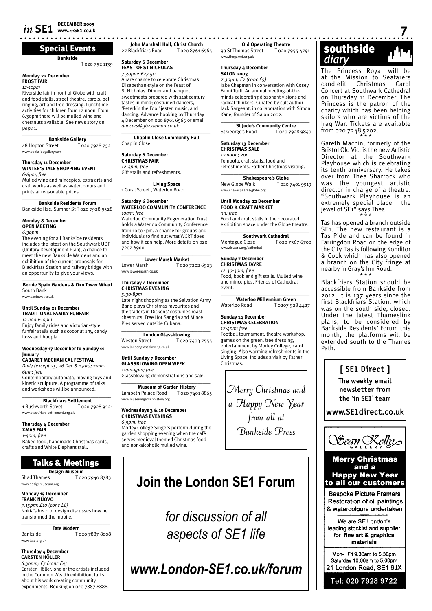### Special Events

**Bankside**

### **Monday 22 December FROST FAIR**

*12-10pm*

Riverside fair in front of Globe with craft and food stalls, street theatre, carols, bell ringing, art and tree dressing. Lunchtime activities for children from 12 noon. From 6.30pm there will be mulled wine and chestnuts available. See news story on page 1.  $\overline{\phantom{a}}$  , and the set of the set of the set of the set of the set of the set of the set of the set of the set of the set of the set of the set of the set of the set of the set of the set of the set of the set of the s

**Bankside Gallery**<br>102 A8 Hopton Street T 020 7928 7521 www.banksidegallery.com

### **Thursday 11 December WINTER'S TALE SHOPPING EVENT**

*6-8pm; free* Mulled wine and mincepies, extra arts and craft works as well as watercolours and prints at reasonable prices.

 $\_$ **Bankside Residents Forum** Bankside Hse, Sumner St T 020 7928 9528

### **Monday 8 December OPEN MEETING**

*6.30pm*

The evening for all Bankside residents includes the latest on the Southwark UDP (Unitary Development Plan), a chance to meet the new Bankside Wardens and an exhibition of the current proposals for Blackfriars Station and railway bridge with an opportunity to give your views.

 $\overline{\phantom{a}}$  ,  $\overline{\phantom{a}}$  ,  $\overline{\phantom{a}}$  ,  $\overline{\phantom{a}}$  ,  $\overline{\phantom{a}}$  ,  $\overline{\phantom{a}}$  ,  $\overline{\phantom{a}}$  ,  $\overline{\phantom{a}}$  ,  $\overline{\phantom{a}}$  ,  $\overline{\phantom{a}}$  ,  $\overline{\phantom{a}}$  ,  $\overline{\phantom{a}}$  ,  $\overline{\phantom{a}}$  ,  $\overline{\phantom{a}}$  ,  $\overline{\phantom{a}}$  ,  $\overline{\phantom{a}}$ **Bernie Spain Gardens & Oxo Tower Wharf** South Bank www.oxotower.co.uk

### **Until Sunday 21 December TRADITIONAL FAMILY FUNFAIR**

*12 noon-10pm* Enjoy family rides and Victorian-style funfair stalls such as coconut shy, candy floss and hoopla.

### **Wednesday 17 December to Sunday 11 January**

**CABARET MECHANICAL FESTIVAL**

*Daily (except 25, 26 Dec & 1 Jan); 11am-6pm; free* Contemporary automata, moving toys and kinetic sculpture. A programme of talks and workshops will be announced.

### \_\_\_\_\_\_\_\_\_\_\_\_\_\_\_\_\_\_\_\_\_\_\_\_\_\_\_\_\_\_\_\_\_\_\_ **Blackfriars Settlement**

1 Rushworth Street T 020 7928 9521 www.blackfriars-settlement.org.uk

### **Thursday 4 December**

**XMAS FAIR** *1-4pm; free* Baked food, handmade Christmas cards, crafts and White Elephant stall.

### Talks & Meetings

**Design Museum**<br>Shad Thames **T** 02 T 020 7940 8783 www.designmuseum.org

**Monday 15 December**

### **FRANK NUOVO**

*7.15pm; £10 (conc £6)* Nokia's head of design discusses how he transformed the mobile. \_\_\_\_\_\_\_\_\_\_\_\_\_\_\_\_\_\_\_\_\_\_\_\_\_\_\_\_\_\_\_\_\_\_\_

**Tate Modern** Bankside T 020 7887 8008 www.tate.org.uk

### **Thursday 4 December CARSTEN HÖLLER**

*6.30pm; £7 (conc £4)* Carsten Höller, one of the artists included in the Common Wealth exhibition, talks about his work creating community experiments. Booking on 020 7887 8888.

John Marshall Hall, Christ Church<br>Blackfriars Road T 020 8761 6565 27 Blackfriars Road

### **Saturday 6 December FEAST OF ST NICHOLAS**

*7.30pm: £27.50* A rare chance to celebrate Christmas Elizabethan-style on the Feast of St Nicholas. Dinner and banquet sweetmeats prepared with 21st century tastes in mind; costumed dancers, 'Peterkin the Fool' jester, music, and dancing. Advance booking by Thursday 4 December on 020 8761 6565 or email *dancers@gbz.demon.co.uk*  $\overline{\phantom{a}}$  , and the set of the set of the set of the set of the set of the set of the set of the set of the set of the set of the set of the set of the set of the set of the set of the set of the set of the set of the s

**Chaplin Close Community Hall** Chaplin Close

### **Saturday 6 December CHRISTMAS FAIR** *12-4pm; free*

Gift stalls and refreshments.

 $\overline{\phantom{a}}$  , and the set of the set of the set of the set of the set of the set of the set of the set of the set of the set of the set of the set of the set of the set of the set of the set of the set of the set of the s **Living Space** 1 Coral Street , Waterloo Road

### **Saturday 6 December WATERLOO COMMUNITY CONFERENCE** *10am; free*

Waterloo Community Regeneration Trust holds a Waterloo Community Conference from 10 to 1pm. A chance for groups and individuals to find out what WCRT does and how it can help. More details on 020 7202 6900.  $\_$ 

### **Lower Marsh Market**<br>Lower Marsh Tozo:

T 020 7202 6923 www.lower-marsh.co.uk

**Thursday 4 December CHRISTMAS EVENING** *5.30-8pm* 

Late night shopping as the Salvation Army Band plays Christmas favourites and the traders in Dickens' costumes roast chestnuts. Free Hot Sangria and Mince Pies served outside Cubana.

**\_\_\_\_\_\_\_\_\_\_\_\_\_\_\_\_\_\_\_\_\_\_\_\_\_\_\_\_\_\_\_\_\_\_\_ London Glassblowing** Weston Street T 020 7403 7555 www.londonglassblowing.co.uk

### **Until Sunday 7 December GLASSBLOWING OPEN WEEK** *11am-5pm; free*

Glassblowing demonstrations and sale. **\_\_\_\_\_\_\_\_\_\_\_\_\_\_\_\_\_\_\_\_\_\_\_\_\_\_\_\_\_\_\_\_\_\_\_**

**Museum of Garden History**<br>th Palace Road T 020 7401 8865 Lambeth Palace Road www.museumgardenhistory.org

### **Wednesdays 3 & 10 December**

**CHRISTMAS EVENINGS** *6-9pm; free* Morley College Singers perform during the garden shopping evening when the café serves medieval themed Christmas food and non-alcoholic mulled wine.

# **Join the London SE1 Forum**

*for discussion of all aspects of SE1 life*

# *www.London-SE1.co.uk/forum*

**Old Operating Theatre**<br>
omas Street T 020 7955 4791 9a St Thomas Street

### **Thursday 4 December**

www.thegarret.org.uk

**SALON 2003** *7.30pm; £7 (conc £5)*

Jake Chapman in conversation with Cosey Fanni Tutti. An annual meeting-of-theminds celebrating dissonant visions and radical thinkers. Curated by cult author Jack Sargeant, in collaboration with Simon Kane, founder of Salon 2002.  $\overline{\phantom{a}}$  , and the set of the set of the set of the set of the set of the set of the set of the set of the set of the set of the set of the set of the set of the set of the set of the set of the set of the set of the s

**St Jude's Community Centre**<br>rge's Road<br>T 020 7928 9840 St George's Road

### **Saturday 13 December CHRISTMAS SALE**

*12 noon; 20p* Tombola, craft stalls, food and refreshments. Father Christmas visiting.

 $\overline{\phantom{a}}$  , and the set of the set of the set of the set of the set of the set of the set of the set of the set of the set of the set of the set of the set of the set of the set of the set of the set of the set of the s **Shakespeare's Globe** New Globe Walk T 020 7401 9919 www.shakespeares-globe.org

### **Until Monday 22 December FOOD & CRAFT MARKET**

*nn; free* Food and craft stalls in the decorated exhibition space under the Globe theatre.

 $\_$ **Southwark Cathedral**<br>Close T 020 7367 6700 Montague Close www.dswark.org/cathedral

### **Sunday 7 December CHRISTMAS FAYRE**

*12.30-3pm; free* Food, book and gift stalls. Mulled wine and mince pies. Friends of Cathedral event. **\_\_\_\_\_\_\_\_\_\_\_\_\_\_\_\_\_\_\_\_\_\_\_\_\_\_\_\_\_\_\_\_\_\_\_**

**Waterloo Millennium Green** Waterloo Road

### **Sunday 14 December CHRISTMAS CELEBRATION** *12-4pm; free*

Football tournament, theatre workshop, games on the green, tree dressing, entertainment by Morley College, carol singing. Also warming refreshments in the Living Space. Includes a visit by Father Christmas.

Merry Christmas and a Happy New Year from all at Bankside Press



The Princess Royal will be at the Mission to Seafarers Christmas Carol Concert at Southwark Cathedral on Thursday 11 December. The Princess is the patron of the charity which has been helping sailors who are victims of the Iraq War. Tickets are available from 020 7248 5202.

\* \* \* Gareth Machin, formerly of the Bristol Old Vic, is the new Artistic Director at the Southwark Playhouse which is celebrating its tenth anniversary. He takes over from Thea Sharrock who was the youngest artistic director in charge of a theatre. "Southwark Playhouse is an extremely special place – the jewel of SE1" says Thea. \* \* \*

Tas has opened a branch outside SE1. The new restaurant is a Tas Pide and can be found in Farringdon Road on the edge of the City. Tas is following Konditor & Cook which has also opened a branch on the City fringe at nearby in Gray's Inn Road. \* \* \*

Blackfriars Station should be accessible from Bankside from 2012. It is 137 years since the first Blackfriars Station, which was on the south side, closed. Under the latest Thameslink plans, to be considered by Bankside Residents' Forum this month, the platforms will be extended south to the Thames Path.